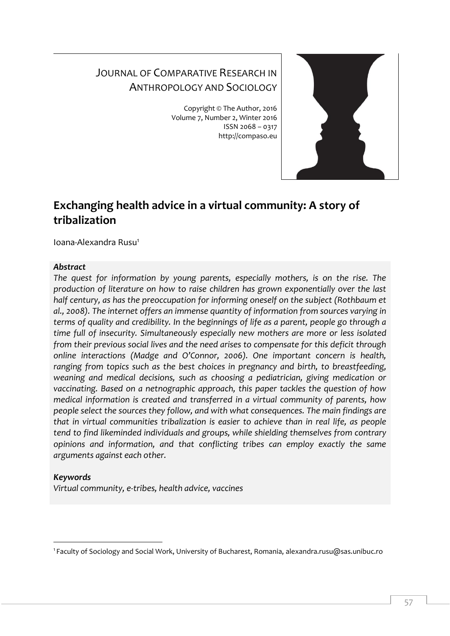# JOURNAL OF COMPARATIVE RESEARCH IN ANTHROPOLOGY AND SOCIOLOGY

Copyright © The Author, 2016 Volume 7, Number 2, Winter 2016 ISSN 2068 – 0317 http://compaso.eu



# **Exchanging health advice in a virtual community: A story of tribalization**

Ioana-Alexandra Rusu<sup>1</sup>

## *Abstract*

*The quest for information by young parents, especially mothers, is on the rise. The production of literature on how to raise children has grown exponentially over the last half century, as has the preoccupation for informing oneself on the subject (Rothbaum et al., 2008). The internet offers an immense quantity of information from sources varying in terms of quality and credibility. In the beginnings of life as a parent, people go through a time full of insecurity. Simultaneously especially new mothers are more or less isolated from their previous social lives and the need arises to compensate for this deficit through online interactions (Madge and O'Connor, 2006). One important concern is health, ranging from topics such as the best choices in pregnancy and birth, to breastfeeding, weaning and medical decisions, such as choosing a pediatrician, giving medication or vaccinating. Based on a netnographic approach, this paper tackles the question of how medical information is created and transferred in a virtual community of parents, how people select the sources they follow, and with what consequences. The main findings are that in virtual communities tribalization is easier to achieve than in real life, as people tend to find likeminded individuals and groups, while shielding themselves from contrary opinions and information, and that conflicting tribes can employ exactly the same arguments against each other.*

# *Keywords*

*Virtual community, e-tribes, health advice, vaccines*

<sup>-</sup><sup>1</sup> Faculty of Sociology and Social Work, University of Bucharest, Romania, alexandra.rusu@sas.unibuc.ro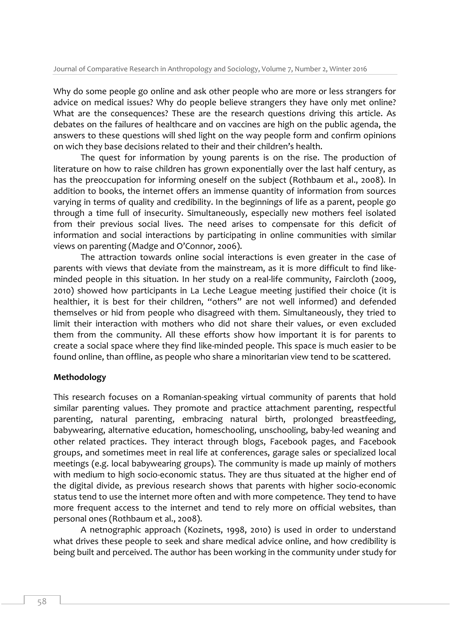Why do some people go online and ask other people who are more or less strangers for advice on medical issues? Why do people believe strangers they have only met online? What are the consequences? These are the research questions driving this article. As debates on the failures of healthcare and on vaccines are high on the public agenda, the answers to these questions will shed light on the way people form and confirm opinions on wich they base decisions related to their and their children's health.

The quest for information by young parents is on the rise. The production of literature on how to raise children has grown exponentially over the last half century, as has the preoccupation for informing oneself on the subject (Rothbaum et al., 2008). In addition to books, the internet offers an immense quantity of information from sources varying in terms of quality and credibility. In the beginnings of life as a parent, people go through a time full of insecurity. Simultaneously, especially new mothers feel isolated from their previous social lives. The need arises to compensate for this deficit of information and social interactions by participating in online communities with similar views on parenting (Madge and O'Connor, 2006).

The attraction towards online social interactions is even greater in the case of parents with views that deviate from the mainstream, as it is more difficult to find likeminded people in this situation. In her study on a real-life community, Faircloth (2009, 2010) showed how participants in La Leche League meeting justified their choice (it is healthier, it is best for their children, "others" are not well informed) and defended themselves or hid from people who disagreed with them. Simultaneously, they tried to limit their interaction with mothers who did not share their values, or even excluded them from the community. All these efforts show how important it is for parents to create a social space where they find like-minded people. This space is much easier to be found online, than offline, as people who share a minoritarian view tend to be scattered.

## **Methodology**

This research focuses on a Romanian-speaking virtual community of parents that hold similar parenting values. They promote and practice attachment parenting, respectful parenting, natural parenting, embracing natural birth, prolonged breastfeeding, babywearing, alternative education, homeschooling, unschooling, baby-led weaning and other related practices. They interact through blogs, Facebook pages, and Facebook groups, and sometimes meet in real life at conferences, garage sales or specialized local meetings (e.g. local babywearing groups). The community is made up mainly of mothers with medium to high socio-economic status. They are thus situated at the higher end of the digital divide, as previous research shows that parents with higher socio-economic status tend to use the internet more often and with more competence. They tend to have more frequent access to the internet and tend to rely more on official websites, than personal ones (Rothbaum et al., 2008).

A netnographic approach (Kozinets, 1998, 2010) is used in order to understand what drives these people to seek and share medical advice online, and how credibility is being built and perceived. The author has been working in the community under study for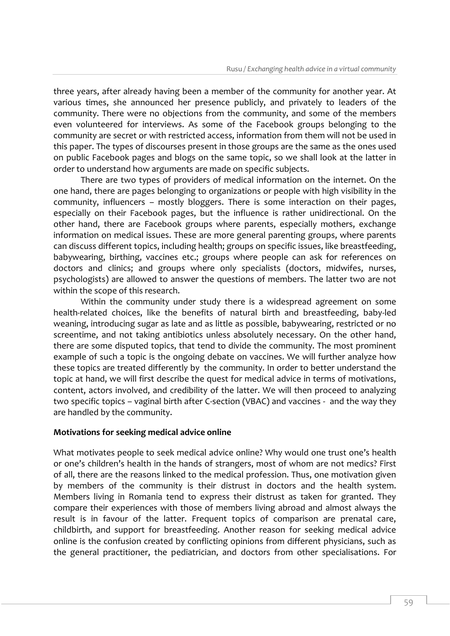three years, after already having been a member of the community for another year. At various times, she announced her presence publicly, and privately to leaders of the community. There were no objections from the community, and some of the members even volunteered for interviews. As some of the Facebook groups belonging to the community are secret or with restricted access, information from them will not be used in this paper. The types of discourses present in those groups are the same as the ones used on public Facebook pages and blogs on the same topic, so we shall look at the latter in order to understand how arguments are made on specific subjects.

There are two types of providers of medical information on the internet. On the one hand, there are pages belonging to organizations or people with high visibility in the community, influencers – mostly bloggers. There is some interaction on their pages, especially on their Facebook pages, but the influence is rather unidirectional. On the other hand, there are Facebook groups where parents, especially mothers, exchange information on medical issues. These are more general parenting groups, where parents can discuss different topics, including health; groups on specific issues, like breastfeeding, babywearing, birthing, vaccines etc.; groups where people can ask for references on doctors and clinics; and groups where only specialists (doctors, midwifes, nurses, psychologists) are allowed to answer the questions of members. The latter two are not within the scope of this research.

Within the community under study there is a widespread agreement on some health-related choices, like the benefits of natural birth and breastfeeding, baby-led weaning, introducing sugar as late and as little as possible, babywearing, restricted or no screentime, and not taking antibiotics unless absolutely necessary. On the other hand, there are some disputed topics, that tend to divide the community. The most prominent example of such a topic is the ongoing debate on vaccines. We will further analyze how these topics are treated differently by the community. In order to better understand the topic at hand, we will first describe the quest for medical advice in terms of motivations, content, actors involved, and credibility of the latter. We will then proceed to analyzing two specific topics – vaginal birth after C-section (VBAC) and vaccines - and the way they are handled by the community.

## **Motivations for seeking medical advice online**

What motivates people to seek medical advice online? Why would one trust one's health or one's children's health in the hands of strangers, most of whom are not medics? First of all, there are the reasons linked to the medical profession. Thus, one motivation given by members of the community is their distrust in doctors and the health system. Members living in Romania tend to express their distrust as taken for granted. They compare their experiences with those of members living abroad and almost always the result is in favour of the latter. Frequent topics of comparison are prenatal care, childbirth, and support for breastfeeding. Another reason for seeking medical advice online is the confusion created by conflicting opinions from different physicians, such as the general practitioner, the pediatrician, and doctors from other specialisations. For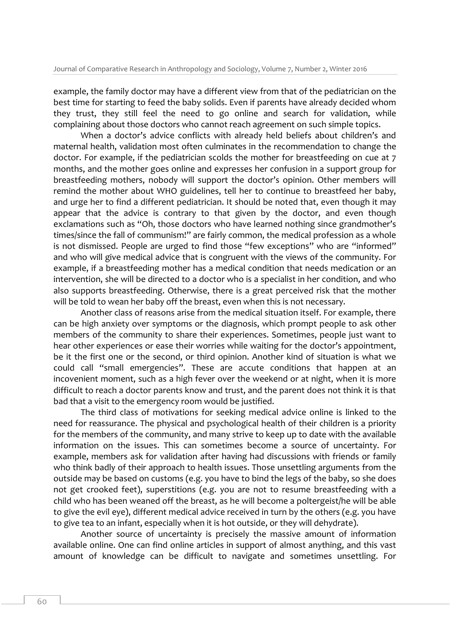example, the family doctor may have a different view from that of the pediatrician on the best time for starting to feed the baby solids. Even if parents have already decided whom they trust, they still feel the need to go online and search for validation, while complaining about those doctors who cannot reach agreement on such simple topics.

When a doctor's advice conflicts with already held beliefs about children's and maternal health, validation most often culminates in the recommendation to change the doctor. For example, if the pediatrician scolds the mother for breastfeeding on cue at 7 months, and the mother goes online and expresses her confusion in a support group for breastfeeding mothers, nobody will support the doctor's opinion. Other members will remind the mother about WHO guidelines, tell her to continue to breastfeed her baby, and urge her to find a different pediatrician. It should be noted that, even though it may appear that the advice is contrary to that given by the doctor, and even though exclamations such as "Oh, those doctors who have learned nothing since grandmother's times/since the fall of communism!" are fairly common, the medical profession as a whole is not dismissed. People are urged to find those "few exceptions" who are "informed" and who will give medical advice that is congruent with the views of the community. For example, if a breastfeeding mother has a medical condition that needs medication or an intervention, she will be directed to a doctor who is a specialist in her condition, and who also supports breastfeeding. Otherwise, there is a great perceived risk that the mother will be told to wean her baby off the breast, even when this is not necessary.

Another class of reasons arise from the medical situation itself. For example, there can be high anxiety over symptoms or the diagnosis, which prompt people to ask other members of the community to share their experiences. Sometimes, people just want to hear other experiences or ease their worries while waiting for the doctor's appointment, be it the first one or the second, or third opinion. Another kind of situation is what we could call "small emergencies". These are accute conditions that happen at an incovenient moment, such as a high fever over the weekend or at night, when it is more difficult to reach a doctor parents know and trust, and the parent does not think it is that bad that a visit to the emergency room would be justified.

The third class of motivations for seeking medical advice online is linked to the need for reassurance. The physical and psychological health of their children is a priority for the members of the community, and many strive to keep up to date with the available information on the issues. This can sometimes become a source of uncertainty. For example, members ask for validation after having had discussions with friends or family who think badly of their approach to health issues. Those unsettling arguments from the outside may be based on customs (e.g. you have to bind the legs of the baby, so she does not get crooked feet), superstitions (e.g. you are not to resume breastfeeding with a child who has been weaned off the breast, as he will become a poltergeist/he will be able to give the evil eye), different medical advice received in turn by the others (e.g. you have to give tea to an infant, especially when it is hot outside, or they will dehydrate).

Another source of uncertainty is precisely the massive amount of information available online. One can find online articles in support of almost anything, and this vast amount of knowledge can be difficult to navigate and sometimes unsettling. For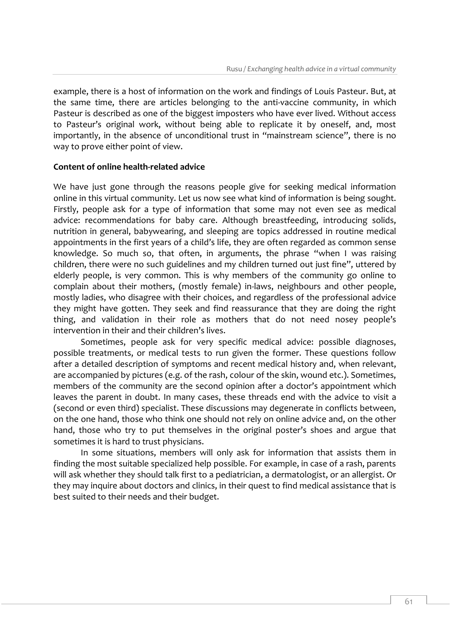example, there is a host of information on the work and findings of Louis Pasteur. But, at the same time, there are articles belonging to the anti-vaccine community, in which Pasteur is described as one of the biggest imposters who have ever lived. Without access to Pasteur's original work, without being able to replicate it by oneself, and, most importantly, in the absence of unconditional trust in "mainstream science", there is no way to prove either point of view.

## **Content of online health-related advice**

We have just gone through the reasons people give for seeking medical information online in this virtual community. Let us now see what kind of information is being sought. Firstly, people ask for a type of information that some may not even see as medical advice: recommendations for baby care. Although breastfeeding, introducing solids, nutrition in general, babywearing, and sleeping are topics addressed in routine medical appointments in the first years of a child's life, they are often regarded as common sense knowledge. So much so, that often, in arguments, the phrase "when I was raising children, there were no such guidelines and my children turned out just fine", uttered by elderly people, is very common. This is why members of the community go online to complain about their mothers, (mostly female) in-laws, neighbours and other people, mostly ladies, who disagree with their choices, and regardless of the professional advice they might have gotten. They seek and find reassurance that they are doing the right thing, and validation in their role as mothers that do not need nosey people's intervention in their and their children's lives.

Sometimes, people ask for very specific medical advice: possible diagnoses, possible treatments, or medical tests to run given the former. These questions follow after a detailed description of symptoms and recent medical history and, when relevant, are accompanied by pictures (e.g. of the rash, colour of the skin, wound etc.). Sometimes, members of the community are the second opinion after a doctor's appointment which leaves the parent in doubt. In many cases, these threads end with the advice to visit a (second or even third) specialist. These discussions may degenerate in conflicts between, on the one hand, those who think one should not rely on online advice and, on the other hand, those who try to put themselves in the original poster's shoes and argue that sometimes it is hard to trust physicians.

In some situations, members will only ask for information that assists them in finding the most suitable specialized help possible. For example, in case of a rash, parents will ask whether they should talk first to a pediatrician, a dermatologist, or an allergist. Or they may inquire about doctors and clinics, in their quest to find medical assistance that is best suited to their needs and their budget.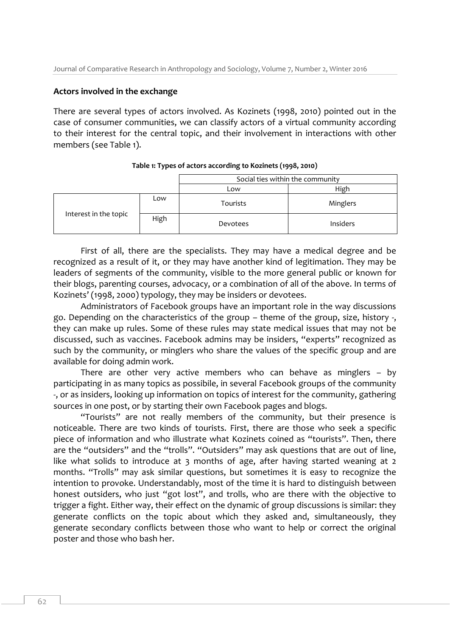### **Actors involved in the exchange**

There are several types of actors involved. As Kozinets (1998, 2010) pointed out in the case of consumer communities, we can classify actors of a virtual community according to their interest for the central topic, and their involvement in interactions with other members (see Table 1).

|                       |      | Social ties within the community |                 |
|-----------------------|------|----------------------------------|-----------------|
|                       |      | Low                              | High            |
| Interest in the topic | Low  | <b>Tourists</b>                  | Minglers        |
|                       | High | Devotees                         | <b>Insiders</b> |

#### **Table 1: Types of actors according to Kozinets (1998, 2010)**

First of all, there are the specialists. They may have a medical degree and be recognized as a result of it, or they may have another kind of legitimation. They may be leaders of segments of the community, visible to the more general public or known for their blogs, parenting courses, advocacy, or a combination of all of the above. In terms of Kozinets' (1998, 2000) typology, they may be insiders or devotees.

Administrators of Facebook groups have an important role in the way discussions go. Depending on the characteristics of the group – theme of the group, size, history -, they can make up rules. Some of these rules may state medical issues that may not be discussed, such as vaccines. Facebook admins may be insiders, "experts" recognized as such by the community, or minglers who share the values of the specific group and are available for doing admin work.

There are other very active members who can behave as minglers – by participating in as many topics as possibile, in several Facebook groups of the community -, or as insiders, looking up information on topics of interest for the community, gathering sources in one post, or by starting their own Facebook pages and blogs.

"Tourists" are not really members of the community, but their presence is noticeable. There are two kinds of tourists. First, there are those who seek a specific piece of information and who illustrate what Kozinets coined as "tourists". Then, there are the "outsiders" and the "trolls". "Outsiders" may ask questions that are out of line, like what solids to introduce at 3 months of age, after having started weaning at 2 months. "Trolls" may ask similar questions, but sometimes it is easy to recognize the intention to provoke. Understandably, most of the time it is hard to distinguish between honest outsiders, who just "got lost", and trolls, who are there with the objective to trigger a fight. Either way, their effect on the dynamic of group discussions is similar: they generate conflicts on the topic about which they asked and, simultaneously, they generate secondary conflicts between those who want to help or correct the original poster and those who bash her.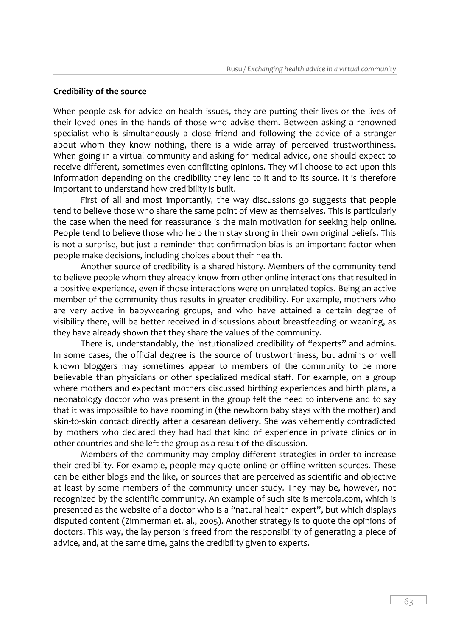### **Credibility of the source**

When people ask for advice on health issues, they are putting their lives or the lives of their loved ones in the hands of those who advise them. Between asking a renowned specialist who is simultaneously a close friend and following the advice of a stranger about whom they know nothing, there is a wide array of perceived trustworthiness. When going in a virtual community and asking for medical advice, one should expect to receive different, sometimes even conflicting opinions. They will choose to act upon this information depending on the credibility they lend to it and to its source. It is therefore important to understand how credibility is built.

First of all and most importantly, the way discussions go suggests that people tend to believe those who share the same point of view as themselves. This is particularly the case when the need for reassurance is the main motivation for seeking help online. People tend to believe those who help them stay strong in their own original beliefs. This is not a surprise, but just a reminder that confirmation bias is an important factor when people make decisions, including choices about their health.

Another source of credibility is a shared history. Members of the community tend to believe people whom they already know from other online interactions that resulted in a positive experience, even if those interactions were on unrelated topics. Being an active member of the community thus results in greater credibility. For example, mothers who are very active in babywearing groups, and who have attained a certain degree of visibility there, will be better received in discussions about breastfeeding or weaning, as they have already shown that they share the values of the community.

There is, understandably, the instutionalized credibility of "experts" and admins. In some cases, the official degree is the source of trustworthiness, but admins or well known bloggers may sometimes appear to members of the community to be more believable than physicians or other specialized medical staff. For example, on a group where mothers and expectant mothers discussed birthing experiences and birth plans, a neonatology doctor who was present in the group felt the need to intervene and to say that it was impossible to have rooming in (the newborn baby stays with the mother) and skin-to-skin contact directly after a cesarean delivery. She was vehemently contradicted by mothers who declared they had had that kind of experience in private clinics or in other countries and she left the group as a result of the discussion.

Members of the community may employ different strategies in order to increase their credibility. For example, people may quote online or offline written sources. These can be either blogs and the like, or sources that are perceived as scientific and objective at least by some members of the community under study. They may be, however, not recognized by the scientific community. An example of such site is mercola.com, which is presented as the website of a doctor who is a "natural health expert", but which displays disputed content (Zimmerman et. al., 2005). Another strategy is to quote the opinions of doctors. This way, the lay person is freed from the responsibility of generating a piece of advice, and, at the same time, gains the credibility given to experts.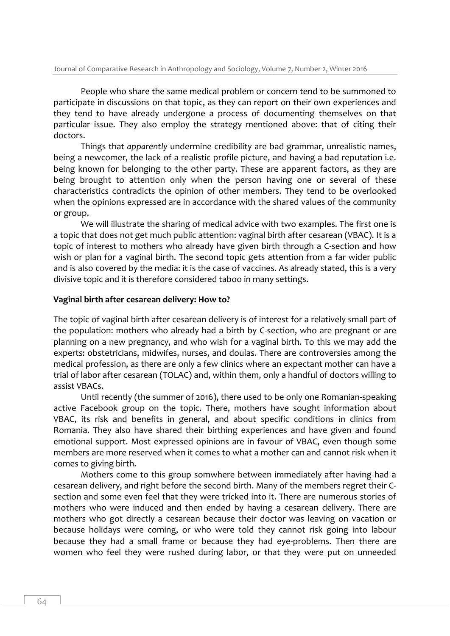People who share the same medical problem or concern tend to be summoned to participate in discussions on that topic, as they can report on their own experiences and they tend to have already undergone a process of documenting themselves on that particular issue. They also employ the strategy mentioned above: that of citing their doctors.

Things that *apparently* undermine credibility are bad grammar, unrealistic names, being a newcomer, the lack of a realistic profile picture, and having a bad reputation i.e. being known for belonging to the other party. These are apparent factors, as they are being brought to attention only when the person having one or several of these characteristics contradicts the opinion of other members. They tend to be overlooked when the opinions expressed are in accordance with the shared values of the community or group.

We will illustrate the sharing of medical advice with two examples. The first one is a topic that does not get much public attention: vaginal birth after cesarean (VBAC). It is a topic of interest to mothers who already have given birth through a C-section and how wish or plan for a vaginal birth. The second topic gets attention from a far wider public and is also covered by the media: it is the case of vaccines. As already stated, this is a very divisive topic and it is therefore considered taboo in many settings.

#### **Vaginal birth after cesarean delivery: How to?**

The topic of vaginal birth after cesarean delivery is of interest for a relatively small part of the population: mothers who already had a birth by C-section, who are pregnant or are planning on a new pregnancy, and who wish for a vaginal birth. To this we may add the experts: obstetricians, midwifes, nurses, and doulas. There are controversies among the medical profession, as there are only a few clinics where an expectant mother can have a trial of labor after cesarean (TOLAC) and, within them, only a handful of doctors willing to assist VBACs.

Until recently (the summer of 2016), there used to be only one Romanian-speaking active Facebook group on the topic. There, mothers have sought information about VBAC, its risk and benefits in general, and about specific conditions in clinics from Romania. They also have shared their birthing experiences and have given and found emotional support. Most expressed opinions are in favour of VBAC, even though some members are more reserved when it comes to what a mother can and cannot risk when it comes to giving birth.

Mothers come to this group somwhere between immediately after having had a cesarean delivery, and right before the second birth. Many of the members regret their Csection and some even feel that they were tricked into it. There are numerous stories of mothers who were induced and then ended by having a cesarean delivery. There are mothers who got directly a cesarean because their doctor was leaving on vacation or because holidays were coming, or who were told they cannot risk going into labour because they had a small frame or because they had eye-problems. Then there are women who feel they were rushed during labor, or that they were put on unneeded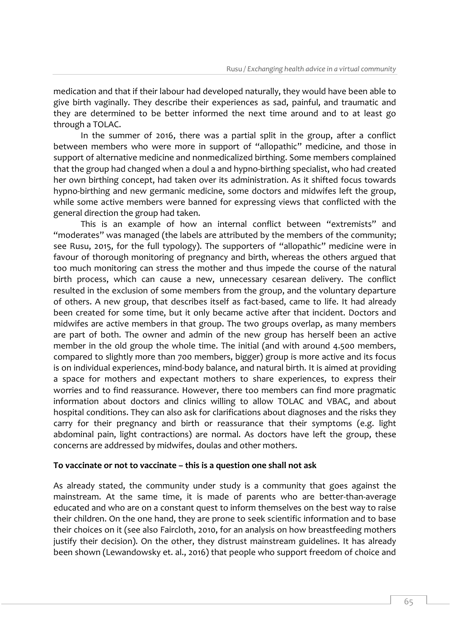medication and that if their labour had developed naturally, they would have been able to give birth vaginally. They describe their experiences as sad, painful, and traumatic and they are determined to be better informed the next time around and to at least go through a TOLAC.

In the summer of 2016, there was a partial split in the group, after a conflict between members who were more in support of "allopathic" medicine, and those in support of alternative medicine and nonmedicalized birthing. Some members complained that the group had changed when a doul a and hypno-birthing specialist, who had created her own birthing concept, had taken over its administration. As it shifted focus towards hypno-birthing and new germanic medicine, some doctors and midwifes left the group, while some active members were banned for expressing views that conflicted with the general direction the group had taken.

This is an example of how an internal conflict between "extremists" and "moderates" was managed (the labels are attributed by the members of the community; see Rusu, 2015, for the full typology). The supporters of "allopathic" medicine were in favour of thorough monitoring of pregnancy and birth, whereas the others argued that too much monitoring can stress the mother and thus impede the course of the natural birth process, which can cause a new, unnecessary cesarean delivery. The conflict resulted in the exclusion of some members from the group, and the voluntary departure of others. A new group, that describes itself as fact-based, came to life. It had already been created for some time, but it only became active after that incident. Doctors and midwifes are active members in that group. The two groups overlap, as many members are part of both. The owner and admin of the new group has herself been an active member in the old group the whole time. The initial (and with around 4.500 members, compared to slightly more than 700 members, bigger) group is more active and its focus is on individual experiences, mind-body balance, and natural birth. It is aimed at providing a space for mothers and expectant mothers to share experiences, to express their worries and to find reassurance. However, there too members can find more pragmatic information about doctors and clinics willing to allow TOLAC and VBAC, and about hospital conditions. They can also ask for clarifications about diagnoses and the risks they carry for their pregnancy and birth or reassurance that their symptoms (e.g. light abdominal pain, light contractions) are normal. As doctors have left the group, these concerns are addressed by midwifes, doulas and other mothers.

## **To vaccinate or not to vaccinate – this is a question one shall not ask**

As already stated, the community under study is a community that goes against the mainstream. At the same time, it is made of parents who are better-than-average educated and who are on a constant quest to inform themselves on the best way to raise their children. On the one hand, they are prone to seek scientific information and to base their choices on it (see also Faircloth, 2010, for an analysis on how breastfeeding mothers justify their decision). On the other, they distrust mainstream guidelines. It has already been shown (Lewandowsky et. al., 2016) that people who support freedom of choice and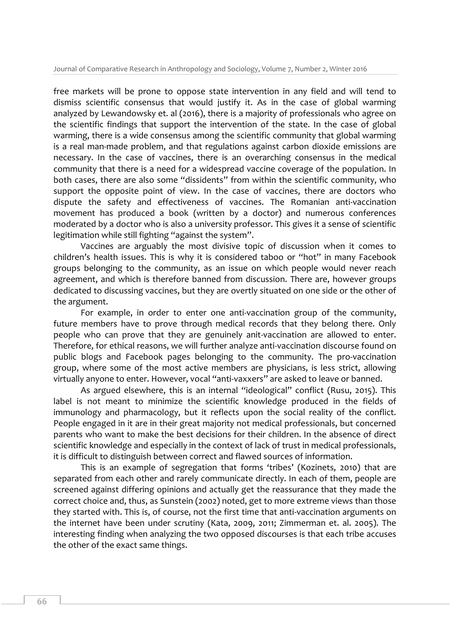free markets will be prone to oppose state intervention in any field and will tend to dismiss scientific consensus that would justify it. As in the case of global warming analyzed by Lewandowsky et. al (2016), there is a majority of professionals who agree on the scientific findings that support the intervention of the state. In the case of global warming, there is a wide consensus among the scientific community that global warming is a real man-made problem, and that regulations against carbon dioxide emissions are necessary. In the case of vaccines, there is an overarching consensus in the medical community that there is a need for a widespread vaccine coverage of the population. In both cases, there are also some "dissidents" from within the scientific community, who support the opposite point of view. In the case of vaccines, there are doctors who dispute the safety and effectiveness of vaccines. The Romanian anti-vaccination movement has produced a book (written by a doctor) and numerous conferences moderated by a doctor who is also a university professor. This gives it a sense of scientific legitimation while still fighting "against the system".

Vaccines are arguably the most divisive topic of discussion when it comes to children's health issues. This is why it is considered taboo or "hot" in many Facebook groups belonging to the community, as an issue on which people would never reach agreement, and which is therefore banned from discussion. There are, however groups dedicated to discussing vaccines, but they are overtly situated on one side or the other of the argument.

For example, in order to enter one anti-vaccination group of the community, future members have to prove through medical records that they belong there. Only people who can prove that they are genuinely anit-vaccination are allowed to enter. Therefore, for ethical reasons, we will further analyze anti-vaccination discourse found on public blogs and Facebook pages belonging to the community. The pro-vaccination group, where some of the most active members are physicians, is less strict, allowing virtually anyone to enter. However, vocal "anti-vaxxers" are asked to leave or banned.

As argued elsewhere, this is an internal "ideological" conflict (Rusu, 2015). This label is not meant to minimize the scientific knowledge produced in the fields of immunology and pharmacology, but it reflects upon the social reality of the conflict. People engaged in it are in their great majority not medical professionals, but concerned parents who want to make the best decisions for their children. In the absence of direct scientific knowledge and especially in the context of lack of trust in medical professionals, it is difficult to distinguish between correct and flawed sources of information.

This is an example of segregation that forms 'tribes' (Kozinets, 2010) that are separated from each other and rarely communicate directly. In each of them, people are screened against differing opinions and actually get the reassurance that they made the correct choice and, thus, as Sunstein (2002) noted, get to more extreme views than those they started with. This is, of course, not the first time that anti-vaccination arguments on the internet have been under scrutiny (Kata, 2009, 2011; Zimmerman et. al. 2005). The interesting finding when analyzing the two opposed discourses is that each tribe accuses the other of the exact same things.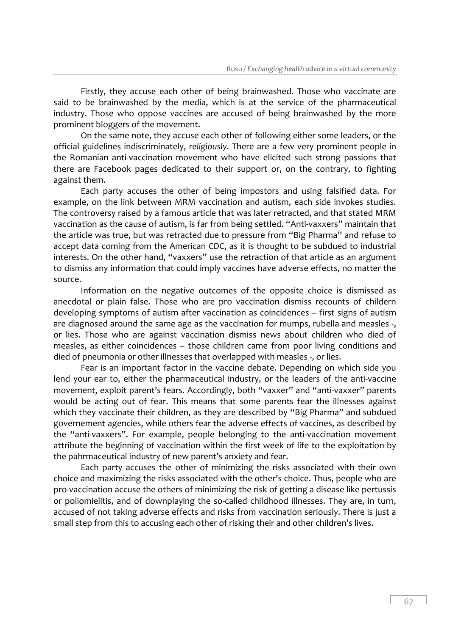Firstly, they accuse each other of being brainwashed. Those who vaccinate are said to be brainwashed by the media, which is at the service of the pharmaceutical industry. Those who oppose vaccines are accused of being brainwashed by the more prominent bloggers of the movement.

On the same note, they accuse each other of following either some leaders, or the official guidelines indiscriminately, *religiously*. There are a few very prominent people in the Romanian anti-vaccination movement who have elicited such strong passions that there are Facebook pages dedicated to their support or, on the contrary, to fighting against them.

Each party accuses the other of being impostors and using falsified data. For example, on the link between MRM vaccination and autism, each side invokes studies. The controversy raised by a famous article that was later retracted, and that stated MRM vaccination as the cause of autism, is far from being settled. "Anti-vaxxers" maintain that the article was true, but was retracted due to pressure from "Big Pharma" and refuse to accept data coming from the American CDC, as it is thought to be subdued to industrial interests. On the other hand, "vaxxers" use the retraction of that article as an argument to dismiss any information that could imply vaccines have adverse effects, no matter the source.

Information on the negative outcomes of the opposite choice is dismissed as anecdotal or plain false. Those who are pro vaccination dismiss recounts of childern developing symptoms of autism after vaccination as coincidences – first signs of autism are diagnosed around the same age as the vaccination for mumps, rubella and measles -, or lies. Those who are against vaccination dismiss news about children who died of measles, as either coincidences – those children came from poor living conditions and died of pneumonia or other illnesses that overlapped with measles -, or lies.

Fear is an important factor in the vaccine debate. Depending on which side you lend your ear to, either the pharmaceutical industry, or the leaders of the anti-vaccine movement, exploit parent's fears. Accordingly, both "vaxxer" and "anti-vaxxer" parents would be acting out of fear. This means that some parents fear the illnesses against which they vaccinate their children, as they are described by "Big Pharma" and subdued governement agencies, while others fear the adverse effects of vaccines, as described by the "anti-vaxxers". For example, people belonging to the anti-vaccination movement attribute the beginning of vaccination within the first week of life to the exploitation by the pahrmaceutical industry of new parent's anxiety and fear.

Each party accuses the other of minimizing the risks associated with their own choice and maximizing the risks associated with the other's choice. Thus, people who are pro-vaccination accuse the others of minimizing the risk of getting a disease like pertussis or poliomielitis, and of downplaying the so-called childhood illnesses. They are, in turn, accused of not taking adverse effects and risks from vaccination seriously. There is just a small step from this to accusing each other of risking their and other children's lives.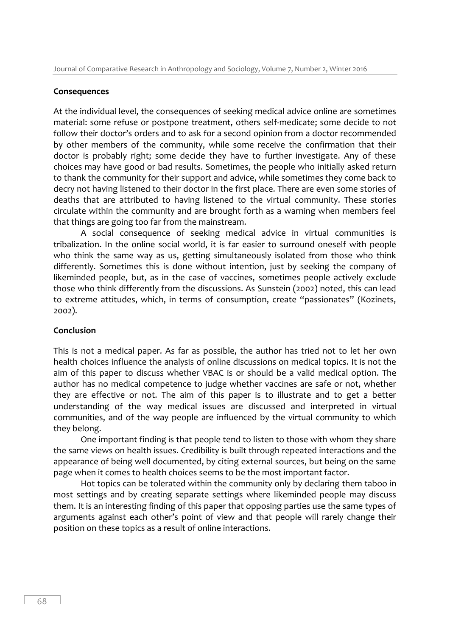## **Consequences**

At the individual level, the consequences of seeking medical advice online are sometimes material: some refuse or postpone treatment, others self-medicate; some decide to not follow their doctor's orders and to ask for a second opinion from a doctor recommended by other members of the community, while some receive the confirmation that their doctor is probably right; some decide they have to further investigate. Any of these choices may have good or bad results. Sometimes, the people who initially asked return to thank the community for their support and advice, while sometimes they come back to decry not having listened to their doctor in the first place. There are even some stories of deaths that are attributed to having listened to the virtual community. These stories circulate within the community and are brought forth as a warning when members feel that things are going too far from the mainstream.

A social consequence of seeking medical advice in virtual communities is tribalization. In the online social world, it is far easier to surround oneself with people who think the same way as us, getting simultaneously isolated from those who think differently. Sometimes this is done without intention, just by seeking the company of likeminded people, but, as in the case of vaccines, sometimes people actively exclude those who think differently from the discussions. As Sunstein (2002) noted, this can lead to extreme attitudes, which, in terms of consumption, create "passionates" (Kozinets, 2002).

## **Conclusion**

This is not a medical paper. As far as possible, the author has tried not to let her own health choices influence the analysis of online discussions on medical topics. It is not the aim of this paper to discuss whether VBAC is or should be a valid medical option. The author has no medical competence to judge whether vaccines are safe or not, whether they are effective or not. The aim of this paper is to illustrate and to get a better understanding of the way medical issues are discussed and interpreted in virtual communities, and of the way people are influenced by the virtual community to which they belong.

One important finding is that people tend to listen to those with whom they share the same views on health issues. Credibility is built through repeated interactions and the appearance of being well documented, by citing external sources, but being on the same page when it comes to health choices seems to be the most important factor.

Hot topics can be tolerated within the community only by declaring them taboo in most settings and by creating separate settings where likeminded people may discuss them. It is an interesting finding of this paper that opposing parties use the same types of arguments against each other's point of view and that people will rarely change their position on these topics as a result of online interactions.